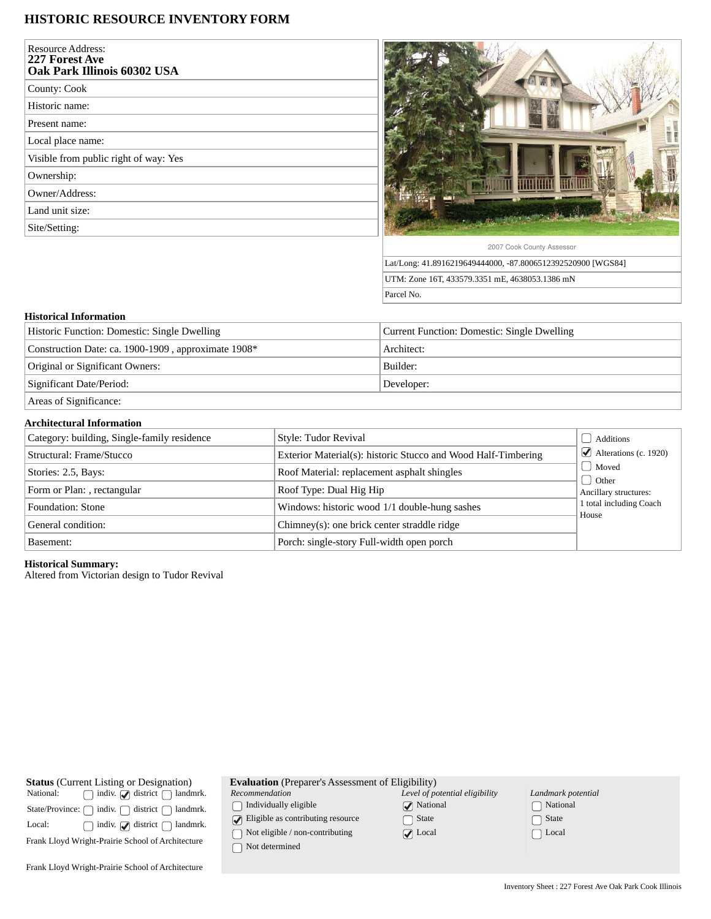# **HISTORIC RESOURCE INVENTORY FORM**

| <b>Resource Address:</b><br>227 Forest Ave<br>Oak Park Illinois 60302 USA |
|---------------------------------------------------------------------------|
| County: Cook                                                              |
| Historic name:                                                            |
| Present name:                                                             |
| Local place name:                                                         |
| Visible from public right of way: Yes                                     |
| Ownership:                                                                |
| Owner/Address:                                                            |
| Land unit size:                                                           |
| Site/Setting:                                                             |
|                                                                           |
|                                                                           |



Lat/Long: 41.8916219649444000, -87.8006512392520900 [WGS84] UTM: Zone 16T, 433579.3351 mE, 4638053.1386 mN Parcel No.

## **Historical Information**

| Historic Function: Domestic: Single Dwelling        | Current Function: Domestic: Single Dwelling |
|-----------------------------------------------------|---------------------------------------------|
| Construction Date: ca. 1900-1909, approximate 1908* | Architect:                                  |
| Original or Significant Owners:                     | Builder:                                    |
| Significant Date/Period:                            | Developer:                                  |
| Areas of Significance:                              |                                             |

#### **Architectural Information**

| Category: building, Single-family residence | Style: Tudor Revival                                          | Additions                             |
|---------------------------------------------|---------------------------------------------------------------|---------------------------------------|
| Structural: Frame/Stucco                    | Exterior Material(s): historic Stucco and Wood Half-Timbering | $\triangleleft$ Alterations (c. 1920) |
| Stories: 2.5, Bays:                         | Roof Material: replacement asphalt shingles                   | Moved                                 |
| Form or Plan: , rectangular                 | Roof Type: Dual Hig Hip                                       | <b>Other</b><br>Ancillary structures: |
| Foundation: Stone                           | Windows: historic wood 1/1 double-hung sashes                 | 1 total including Coach<br>House      |
| General condition:                          | Chimney(s): one brick center straddle ridge                   |                                       |
| Basement:                                   | Porch: single-story Full-width open porch                     |                                       |

### **Historical Summary:**

Altered from Victorian design to Tudor Revival

| <b>Status</b> (Current Listing or Designation)<br>$\bigcap$ indiv. $\bigotimes$ district $\bigcap$ landmrk.<br>National: |  |  |
|--------------------------------------------------------------------------------------------------------------------------|--|--|
| State/Province: $\bigcap$ indiv. $\bigcap$ district $\bigcap$ landmrk.                                                   |  |  |
| indiv. $\Box$ district $\Box$ landmrk.<br>Local:                                                                         |  |  |
| Frank Lloyd Wright-Prairie School of Architecture                                                                        |  |  |
|                                                                                                                          |  |  |
| Frank Lloyd Wright-Prairie School of Architecture                                                                        |  |  |

|  |  |  | <b>Evaluation</b> (Preparer's Assessment of Eligibility) |
|--|--|--|----------------------------------------------------------|
|--|--|--|----------------------------------------------------------|

*Recommendation*

 $\bigcap$  Individually eligible

**Eligible as contributing resource** 

 $\hfill\textcolor{red}{\bigcirc}$  Not eligible / non-contributing

 $\bigcap$  Not determined

*Level of potential eligibility* **National** State ■ Local

| Landmark potential |
|--------------------|
| [ ] National       |
| $\lfloor$ ) State  |
| $\vert$   Local    |